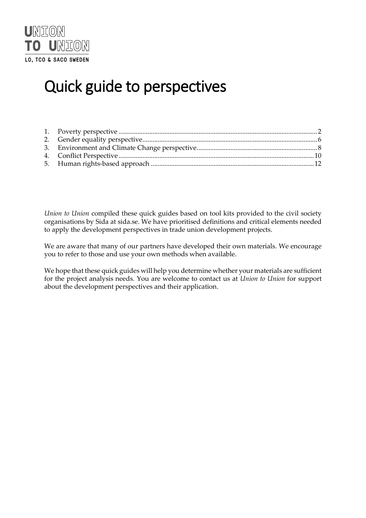

# Quick guide to perspectives

*Union to Union* compiled these quick guides based on tool kits provided to the civil society organisations by Sida at sida.se. We have prioritised definitions and critical elements needed to apply the development perspectives in trade union development projects.

We are aware that many of our partners have developed their own materials. We encourage you to refer to those and use your own methods when available.

We hope that these quick guides will help you determine whether your materials are sufficient for the project analysis needs. You are welcome to contact us at *Union to Union* for support about the development perspectives and their application.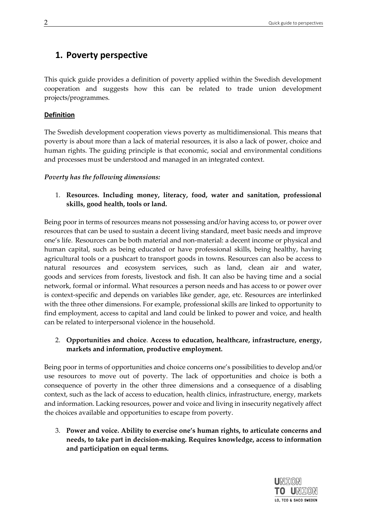# <span id="page-1-0"></span>**1. Poverty perspective**

This quick guide provides a definition of poverty applied within the Swedish development cooperation and suggests how this can be related to trade union development projects/programmes.

# **Definition**

The Swedish development cooperation views poverty as multidimensional. This means that poverty is about more than a lack of material resources, it is also a lack of power, choice and human rights. The guiding principle is that economic, social and environmental conditions and processes must be understood and managed in an integrated context.

# *Poverty has the following dimensions:*

1. **Resources. Including money, literacy, food, water and sanitation, professional skills, good health, tools or land.**

Being poor in terms of resources means not possessing and/or having access to, or power over resources that can be used to sustain a decent living standard, meet basic needs and improve one's life. Resources can be both material and non-material: a decent income or physical and human capital, such as being educated or have professional skills, being healthy, having agricultural tools or a pushcart to transport goods in towns. Resources can also be access to natural resources and ecosystem services, such as land, clean air and water, goods and services from forests, livestock and fish. It can also be having time and a social network, formal or informal. What resources a person needs and has access to or power over is context-specific and depends on variables like gender, age, etc. Resources are interlinked with the three other dimensions. For example, professional skills are linked to opportunity to find employment, access to capital and land could be linked to power and voice, and health can be related to interpersonal violence in the household.

# 2. **Opportunities and choice**. **Access to education, healthcare, infrastructure, energy, markets and information, productive employment.**

Being poor in terms of opportunities and choice concerns one's possibilities to develop and/or use resources to move out of poverty. The lack of opportunities and choice is both a consequence of poverty in the other three dimensions and a consequence of a disabling context, such as the lack of access to education, health clinics, infrastructure, energy, markets and information. Lacking resources, power and voice and living in insecurity negatively affect the choices available and opportunities to escape from poverty.

3. **Power and voice. Ability to exercise one's human rights, to articulate concerns and needs, to take part in decision-making. Requires knowledge, access to information and participation on equal terms.**

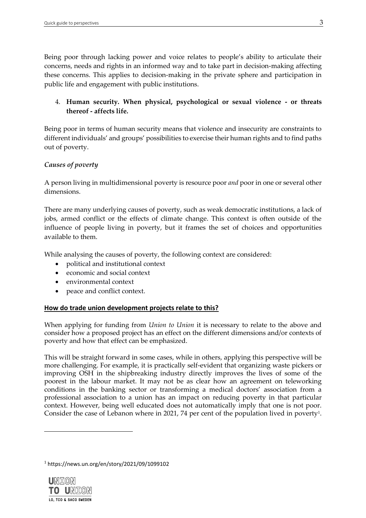Being poor through lacking power and voice relates to people's ability to articulate their concerns, needs and rights in an informed way and to take part in decision-making affecting these concerns. This applies to decision-making in the private sphere and participation in public life and engagement with public institutions.

# 4. **Human security. When physical, psychological or sexual violence - or threats thereof - affects life.**

Being poor in terms of human security means that violence and insecurity are constraints to different individuals' and groups' possibilities to exercise their human rights and to find paths out of poverty.

# *Causes of poverty*

A person living in multidimensional poverty is resource poor *and* poor in one or several other dimensions.

There are many underlying causes of poverty, such as weak democratic institutions, a lack of jobs, armed conflict or the effects of climate change. This context is often outside of the influence of people living in poverty, but it frames the set of choices and opportunities available to them.

While analysing the causes of poverty, the following context are considered:

- political and institutional context
- economic and social context
- environmental context
- peace and conflict context.

# **How do trade union development projects relate to this?**

When applying for funding from *Union to Union* it is necessary to relate to the above and consider how a proposed project has an effect on the different dimensions and/or contexts of poverty and how that effect can be emphasized.

This will be straight forward in some cases, while in others, applying this perspective will be more challenging. For example, it is practically self-evident that organizing waste pickers or improving OSH in the shipbreaking industry directly improves the lives of some of the poorest in the labour market. It may not be as clear how an agreement on teleworking conditions in the banking sector or transforming a medical doctors' association from a professional association to a union has an impact on reducing poverty in that particular context. However, being well educated does not automatically imply that one is not poor. Consider the case of Lebanon where in 2021, 74 per cent of the population lived in poverty<sup>1</sup>.

<sup>1</sup> https://news.un.org/en/story/2021/09/1099102

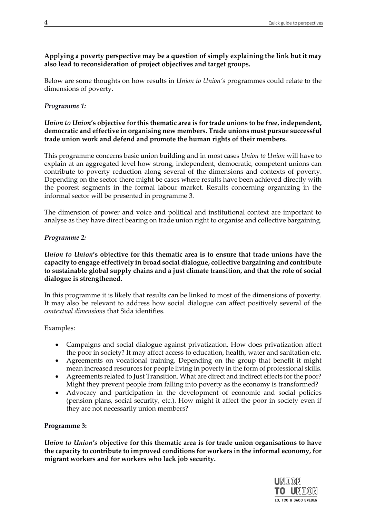# **Applying a poverty perspective may be a question of simply explaining the link but it may also lead to reconsideration of project objectives and target groups.**

Below are some thoughts on how results in *Union to Union's* programmes could relate to the dimensions of poverty.

# *Programme 1:*

### *Union to Union***'s objective for this thematic area is for trade unions to be free, independent, democratic and effective in organising new members. Trade unions must pursue successful trade union work and defend and promote the human rights of their members.**

This programme concerns basic union building and in most cases *Union to Union* will have to explain at an aggregated level how strong, independent, democratic, competent unions can contribute to poverty reduction along several of the dimensions and contexts of poverty. Depending on the sector there might be cases where results have been achieved directly with the poorest segments in the formal labour market. Results concerning organizing in the informal sector will be presented in programme 3.

The dimension of power and voice and political and institutional context are important to analyse as they have direct bearing on trade union right to organise and collective bargaining.

# *Programme 2:*

# *Union to Union***'s objective for this thematic area is to ensure that trade unions have the capacity to engage effectively in broad social dialogue, collective bargaining and contribute to sustainable global supply chains and a just climate transition, and that the role of social dialogue is strengthened.**

In this programme it is likely that results can be linked to most of the dimensions of poverty. It may also be relevant to address how social dialogue can affect positively several of the *contextual dimensions* that Sida identifies.

Examples:

- Campaigns and social dialogue against privatization. How does privatization affect the poor in society? It may affect access to education, health, water and sanitation etc.
- Agreements on vocational training. Depending on the group that benefit it might mean increased resources for people living in poverty in the form of professional skills.
- Agreements related to Just Transition. What are direct and indirect effects for the poor? Might they prevent people from falling into poverty as the economy is transformed?
- Advocacy and participation in the development of economic and social policies (pension plans, social security, etc.). How might it affect the poor in society even if they are not necessarily union members?

# **Programme 3:**

*Union to Union's* **objective for this thematic area is for trade union organisations to have the capacity to contribute to improved conditions for workers in the informal economy, for migrant workers and for workers who lack job security.** 



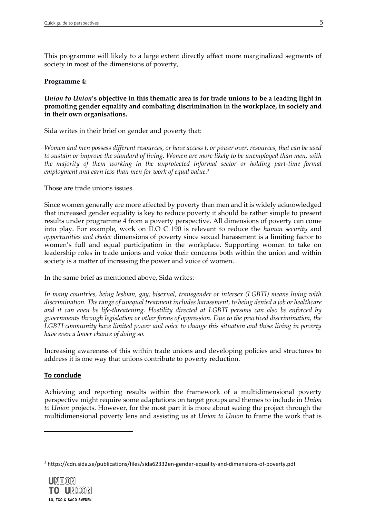This programme will likely to a large extent directly affect more marginalized segments of society in most of the dimensions of poverty,

#### **Programme 4:**

# *Union to Union***'s objective in this thematic area is for trade unions to be a leading light in promoting gender equality and combating discrimination in the workplace, in society and in their own organisations.**

Sida writes in their brief on gender and poverty that:

*Women and men possess different resources, or have access t, or power over, resources, that can be used to sustain or improve the standard of living. Women are more likely to be unemployed than men, with the majority of them working in the unprotected informal sector or holding part-time formal employment and earn less than men for work of equal value.<sup>2</sup>*

Those are trade unions issues.

Since women generally are more affected by poverty than men and it is widely acknowledged that increased gender equality is key to reduce poverty it should be rather simple to present results under programme 4 from a poverty perspective. All dimensions of poverty can come into play. For example, work on ILO C 190 is relevant to reduce the *human security* and *opportunities and choice* dimensions of poverty since sexual harassment is a limiting factor to women's full and equal participation in the workplace. Supporting women to take on leadership roles in trade unions and voice their concerns both within the union and within society is a matter of increasing the power and voice of women.

In the same brief as mentioned above, Sida writes:

*In many countries, being lesbian, gay, bisexual, transgender or intersex (LGBTI) means living with discrimination. The range of unequal treatment includes harassment, to being denied a job or healthcare and it can even be life-threatening. Hostility directed at LGBTI persons can also be enforced by governments through legislation or other forms of oppression. Due to the practiced discrimination, the LGBTI community have limited power and voice to change this situation and those living in poverty have even a lower chance of doing so.* 

Increasing awareness of this within trade unions and developing policies and structures to address it is one way that unions contribute to poverty reduction.

# **To conclude**

Achieving and reporting results within the framework of a multidimensional poverty perspective might require some adaptations on target groups and themes to include in *Union to Union* projects. However, for the most part it is more about seeing the project through the multidimensional poverty lens and assisting us at *Union to Union* to frame the work that is

<sup>2</sup> https://cdn.sida.se/publications/files/sida62332en-gender-equality-and-dimensions-of-poverty.pdf

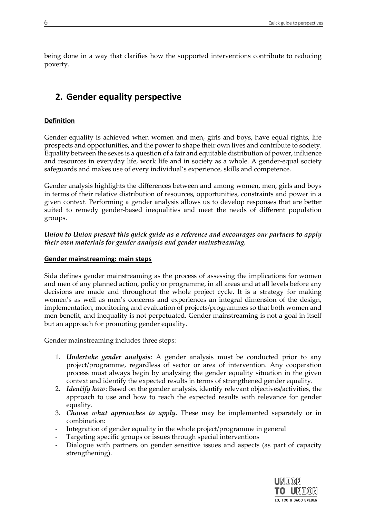being done in a way that clarifies how the supported interventions contribute to reducing poverty.

# <span id="page-5-0"></span>**2. Gender equality perspective**

# **Definition**

Gender equality is achieved when women and men, girls and boys, have equal rights, life prospects and opportunities, and the power to shape their own lives and contribute to society. Equality between the sexes is a question of a fair and equitable distribution of power, influence and resources in everyday life, work life and in society as a whole. A gender-equal society safeguards and makes use of every individual's experience, skills and competence.

Gender analysis highlights the differences between and among women, men, girls and boys in terms of their relative distribution of resources, opportunities, constraints and power in a given context. Performing a gender analysis allows us to develop responses that are better suited to remedy gender-based inequalities and meet the needs of different population groups.

*Union to Union present this quick guide as a reference and encourages our partners to apply their own materials for gender analysis and gender mainstreaming.* 

# **Gender mainstreaming: main steps**

Sida defines gender mainstreaming as the process of assessing the implications for women and men of any planned action, policy or programme, in all areas and at all levels before any decisions are made and throughout the whole project cycle. It is a strategy for making women's as well as men's concerns and experiences an integral dimension of the design, implementation, monitoring and evaluation of projects/programmes so that both women and men benefit, and inequality is not perpetuated. Gender mainstreaming is not a goal in itself but an approach for promoting gender equality.

Gender mainstreaming includes three steps:

- 1. *Undertake gender analysis*: A gender analysis must be conducted prior to any project/programme, regardless of sector or area of intervention. Any cooperation process must always begin by analysing the gender equality situation in the given context and identify the expected results in terms of strengthened gender equality.
- 2. *Identify how*: Based on the gender analysis, identify relevant objectives/activities, the approach to use and how to reach the expected results with relevance for gender equality.
- 3. *Choose what approaches to apply*. These may be implemented separately or in combination:
- Integration of gender equality in the whole project/programme in general
- Targeting specific groups or issues through special interventions
- Dialogue with partners on gender sensitive issues and aspects (as part of capacity strengthening).

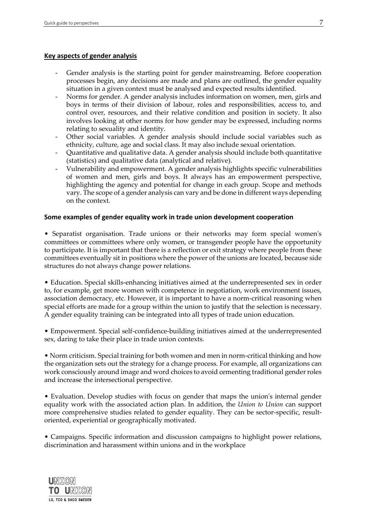#### **Key aspects of gender analysis**

- Gender analysis is the starting point for gender mainstreaming. Before cooperation processes begin, any decisions are made and plans are outlined, the gender equality situation in a given context must be analysed and expected results identified.
- Norms for gender. A gender analysis includes information on women, men, girls and boys in terms of their division of labour, roles and responsibilities, access to, and control over, resources, and their relative condition and position in society. It also involves looking at other norms for how gender may be expressed, including norms relating to sexuality and identity.
- Other social variables. A gender analysis should include social variables such as ethnicity, culture, age and social class. It may also include sexual orientation.
- Quantitative and qualitative data. A gender analysis should include both quantitative (statistics) and qualitative data (analytical and relative).
- Vulnerability and empowerment. A gender analysis highlights specific vulnerabilities of women and men, girls and boys. It always has an empowerment perspective, highlighting the agency and potential for change in each group. Scope and methods vary. The scope of a gender analysis can vary and be done in different ways depending on the context.

#### **Some examples of gender equality work in trade union development cooperation**

• Separatist organisation. Trade unions or their networks may form special women's committees or committees where only women, or transgender people have the opportunity to participate. It is important that there is a reflection or exit strategy where people from these committees eventually sit in positions where the power of the unions are located, because side structures do not always change power relations.

• Education. Special skills-enhancing initiatives aimed at the underrepresented sex in order to, for example, get more women with competence in negotiation, work environment issues, association democracy, etc. However, it is important to have a norm-critical reasoning when special efforts are made for a group within the union to justify that the selection is necessary. A gender equality training can be integrated into all types of trade union education.

• Empowerment. Special self-confidence-building initiatives aimed at the underrepresented sex, daring to take their place in trade union contexts.

• Norm criticism. Special training for both women and men in norm-critical thinking and how the organization sets out the strategy for a change process. For example, all organizations can work consciously around image and word choices to avoid cementing traditional gender roles and increase the intersectional perspective.

• Evaluation. Develop studies with focus on gender that maps the union's internal gender equality work with the associated action plan. In addition, the *Union to Union* can support more comprehensive studies related to gender equality. They can be sector-specific, resultoriented, experiential or geographically motivated.

• Campaigns. Specific information and discussion campaigns to highlight power relations, discrimination and harassment within unions and in the workplace

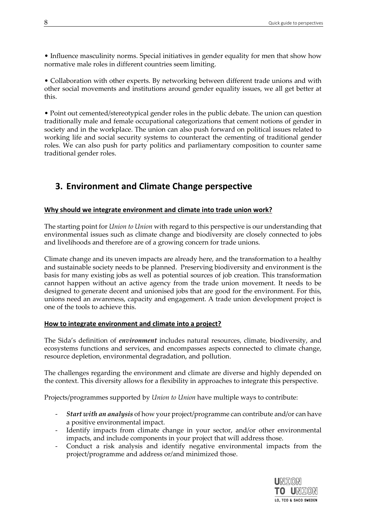• Influence masculinity norms. Special initiatives in gender equality for men that show how normative male roles in different countries seem limiting.

• Collaboration with other experts. By networking between different trade unions and with other social movements and institutions around gender equality issues, we all get better at this.

• Point out cemented/stereotypical gender roles in the public debate. The union can question traditionally male and female occupational categorizations that cement notions of gender in society and in the workplace. The union can also push forward on political issues related to working life and social security systems to counteract the cementing of traditional gender roles. We can also push for party politics and parliamentary composition to counter same traditional gender roles.

# <span id="page-7-0"></span>**3. Environment and Climate Change perspective**

# **Why should we integrate environment and climate into trade union work?**

The starting point for *Union to Union* with regard to this perspective is our understanding that environmental issues such as climate change and biodiversity are closely connected to jobs and livelihoods and therefore are of a growing concern for trade unions.

Climate change and its uneven impacts are already here, and the transformation to a healthy and sustainable society needs to be planned. Preserving biodiversity and environment is the basis for many existing jobs as well as potential sources of job creation. This transformation cannot happen without an active agency from the trade union movement. It needs to be designed to generate decent and unionised jobs that are good for the environment. For this, unions need an awareness, capacity and engagement. A trade union development project is one of the tools to achieve this.

# **How to integrate environment and climate into a project?**

The Sida's definition of *environment* includes natural resources, climate, biodiversity, and ecosystems functions and services, and encompasses aspects connected to climate change, resource depletion, environmental degradation, and pollution.

The challenges regarding the environment and climate are diverse and highly depended on the context. This diversity allows for a flexibility in approaches to integrate this perspective.

Projects/programmes supported by *Union to Union* have multiple ways to contribute:

- *Start with an analysis* of how your project/programme can contribute and/or can have a positive environmental impact.
- Identify impacts from climate change in your sector, and/or other environmental impacts, and include components in your project that will address those.
- Conduct a risk analysis and identify negative environmental impacts from the project/programme and address or/and minimized those.

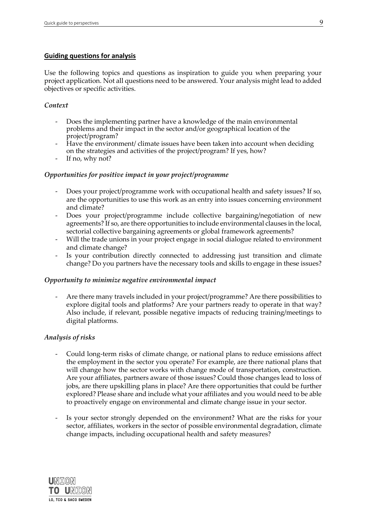# **Guiding questions for analysis**

Use the following topics and questions as inspiration to guide you when preparing your project application. Not all questions need to be answered. Your analysis might lead to added objectives or specific activities.

#### *Context*

- Does the implementing partner have a knowledge of the main environmental problems and their impact in the sector and/or geographical location of the project/program?
- Have the environment/ climate issues have been taken into account when deciding on the strategies and activities of the project/program? If yes, how?
- If no, why not?

#### *Opportunities for positive impact in your project/programme*

- Does your project/programme work with occupational health and safety issues? If so, are the opportunities to use this work as an entry into issues concerning environment and climate?
- Does your project/programme include collective bargaining/negotiation of new agreements? If so, are there opportunities to include environmental clauses in the local, sectorial collective bargaining agreements or global framework agreements?
- Will the trade unions in your project engage in social dialogue related to environment and climate change?
- Is your contribution directly connected to addressing just transition and climate change? Do you partners have the necessary tools and skills to engage in these issues?

#### *Opportunity to minimize negative environmental impact*

- Are there many travels included in your project/programme? Are there possibilities to explore digital tools and platforms? Are your partners ready to operate in that way? Also include, if relevant, possible negative impacts of reducing training/meetings to digital platforms.

#### *Analysis of risks*

- Could long-term risks of climate change, or national plans to reduce emissions affect the employment in the sector you operate? For example, are there national plans that will change how the sector works with change mode of transportation, construction. Are your affiliates, partners aware of those issues? Could those changes lead to loss of jobs, are there upskilling plans in place? Are there opportunities that could be further explored? Please share and include what your affiliates and you would need to be able to proactively engage on environmental and climate change issue in your sector.
- Is your sector strongly depended on the environment? What are the risks for your sector, affiliates, workers in the sector of possible environmental degradation, climate change impacts, including occupational health and safety measures?

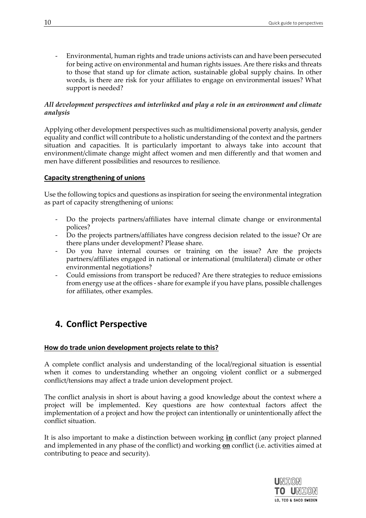- Environmental, human rights and trade unions activists can and have been persecuted for being active on environmental and human rights issues. Are there risks and threats to those that stand up for climate action, sustainable global supply chains. In other words, is there are risk for your affiliates to engage on environmental issues? What support is needed?

# *All development perspectives and interlinked and play a role in an environment and climate analysis*

Applying other development perspectives such as multidimensional poverty analysis, gender equality and conflict will contribute to a holistic understanding of the context and the partners situation and capacities. It is particularly important to always take into account that environment/climate change might affect women and men differently and that women and men have different possibilities and resources to resilience.

# **Capacity strengthening of unions**

Use the following topics and questions as inspiration for seeing the environmental integration as part of capacity strengthening of unions:

- Do the projects partners/affiliates have internal climate change or environmental polices?
- Do the projects partners/affiliates have congress decision related to the issue? Or are there plans under development? Please share.
- Do you have internal courses or training on the issue? Are the projects partners/affiliates engaged in national or international (multilateral) climate or other environmental negotiations?
- Could emissions from transport be reduced? Are there strategies to reduce emissions from energy use at the offices - share for example if you have plans, possible challenges for affiliates, other examples.

# <span id="page-9-0"></span>**4. Conflict Perspective**

# **How do trade union development projects relate to this?**

A complete conflict analysis and understanding of the local/regional situation is essential when it comes to understanding whether an ongoing violent conflict or a submerged conflict/tensions may affect a trade union development project.

The conflict analysis in short is about having a good knowledge about the context where a project will be implemented. Key questions are how contextual factors affect the implementation of a project and how the project can intentionally or unintentionally affect the conflict situation.

It is also important to make a distinction between working **in** conflict (any project planned and implemented in any phase of the conflict) and working **on** conflict (i.e. activities aimed at contributing to peace and security).

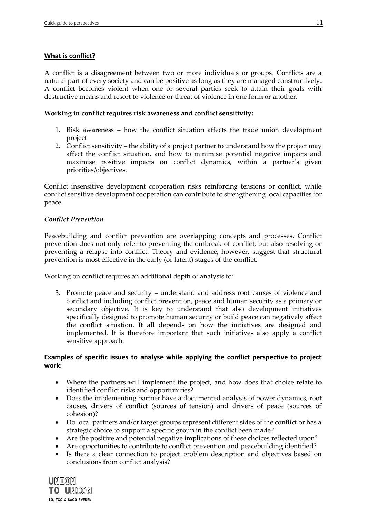# **What is conflict?**

A conflict is a disagreement between two or more individuals or groups. Conflicts are a natural part of every society and can be positive as long as they are managed constructively. A conflict becomes violent when one or several parties seek to attain their goals with destructive means and resort to violence or threat of violence in one form or another.

#### **Working in conflict requires risk awareness and conflict sensitivity:**

- 1. Risk awareness how the conflict situation affects the trade union development project
- 2. Conflict sensitivity the ability of a project partner to understand how the project may affect the conflict situation, and how to minimise potential negative impacts and maximise positive impacts on conflict dynamics, within a partner's given priorities/objectives.

Conflict insensitive development cooperation risks reinforcing tensions or conflict, while conflict sensitive development cooperation can contribute to strengthening local capacities for peace.

#### *Conflict Prevention*

Peacebuilding and conflict prevention are overlapping concepts and processes. Conflict prevention does not only refer to preventing the outbreak of conflict, but also resolving or preventing a relapse into conflict. Theory and evidence, however, suggest that structural prevention is most effective in the early (or latent) stages of the conflict.

Working on conflict requires an additional depth of analysis to:

3. Promote peace and security – understand and address root causes of violence and conflict and including conflict prevention, peace and human security as a primary or secondary objective. It is key to understand that also development initiatives specifically designed to promote human security or build peace can negatively affect the conflict situation. It all depends on how the initiatives are designed and implemented. It is therefore important that such initiatives also apply a conflict sensitive approach.

# **Examples of specific issues to analyse while applying the conflict perspective to project work:**

- Where the partners will implement the project, and how does that choice relate to identified conflict risks and opportunities?
- Does the implementing partner have a documented analysis of power dynamics, root causes, drivers of conflict (sources of tension) and drivers of peace (sources of cohesion)?
- Do local partners and/or target groups represent different sides of the conflict or has a strategic choice to support a specific group in the conflict been made?
- Are the positive and potential negative implications of these choices reflected upon?
- Are opportunities to contribute to conflict prevention and peacebuilding identified?
- Is there a clear connection to project problem description and objectives based on conclusions from conflict analysis?

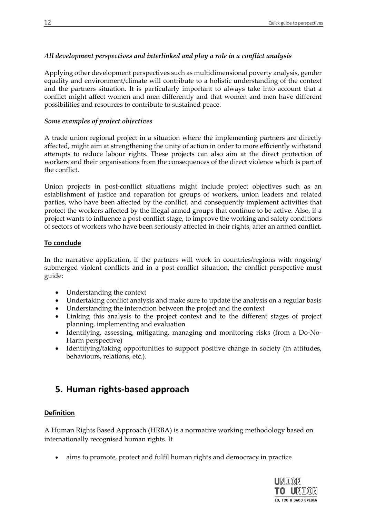# *All development perspectives and interlinked and play a role in a conflict analysis*

Applying other development perspectives such as multidimensional poverty analysis, gender equality and environment/climate will contribute to a holistic understanding of the context and the partners situation. It is particularly important to always take into account that a conflict might affect women and men differently and that women and men have different possibilities and resources to contribute to sustained peace.

# *Some examples of project objectives*

A trade union regional project in a situation where the implementing partners are directly affected, might aim at strengthening the unity of action in order to more efficiently withstand attempts to reduce labour rights. These projects can also aim at the direct protection of workers and their organisations from the consequences of the direct violence which is part of the conflict.

Union projects in post-conflict situations might include project objectives such as an establishment of justice and reparation for groups of workers, union leaders and related parties, who have been affected by the conflict, and consequently implement activities that protect the workers affected by the illegal armed groups that continue to be active. Also, if a project wants to influence a post-conflict stage, to improve the working and safety conditions of sectors of workers who have been seriously affected in their rights, after an armed conflict.

# **To conclude**

In the narrative application, if the partners will work in countries/regions with ongoing/ submerged violent conflicts and in a post-conflict situation, the conflict perspective must guide:

- Understanding the context
- Undertaking conflict analysis and make sure to update the analysis on a regular basis
- Understanding the interaction between the project and the context
- Linking this analysis to the project context and to the different stages of project planning, implementing and evaluation
- Identifying, assessing, mitigating, managing and monitoring risks (from a Do-No-Harm perspective)
- Identifying/taking opportunities to support positive change in society (in attitudes, behaviours, relations, etc.).

# <span id="page-11-0"></span>**5. Human rights-based approach**

# **Definition**

A Human Rights Based Approach (HRBA) is a normative working methodology based on internationally recognised human rights. It

• aims to promote, protect and fulfil human rights and democracy in practice

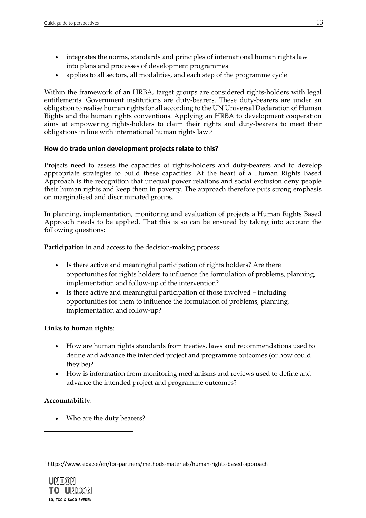- integrates the norms, standards and principles of international human rights law into plans and processes of development programmes
- applies to all sectors, all modalities, and each step of the programme cycle

Within the framework of an HRBA, target groups are considered rights-holders with legal entitlements. Government institutions are duty-bearers. These duty-bearers are under an obligation to realise human rights for all according to the UN Universal Declaration of Human Rights and the human rights conventions. Applying an HRBA to development cooperation aims at empowering rights-holders to claim their rights and duty-bearers to meet their obligations in line with international human rights law.<sup>3</sup>

# **How do trade union development projects relate to this?**

Projects need to assess the capacities of rights-holders and duty-bearers and to develop appropriate strategies to build these capacities. At the heart of a Human Rights Based Approach is the recognition that unequal power relations and social exclusion deny people their human rights and keep them in poverty. The approach therefore puts strong emphasis on marginalised and discriminated groups.

In planning, implementation, monitoring and evaluation of projects a Human Rights Based Approach needs to be applied. That this is so can be ensured by taking into account the following questions:

**Participation** in and access to the decision-making process:

- Is there active and meaningful participation of rights holders? Are there opportunities for rights holders to influence the formulation of problems, planning, implementation and follow-up of the intervention?
- Is there active and meaningful participation of those involved including opportunities for them to influence the formulation of problems, planning, implementation and follow-up?

# **Links to human rights**:

- How are human rights standards from treaties, laws and recommendations used to define and advance the intended project and programme outcomes (or how could they be)?
- How is information from monitoring mechanisms and reviews used to define and advance the intended project and programme outcomes?

# **Accountability**:

• Who are the duty bearers?

<sup>3</sup> https://www.sida.se/en/for-partners/methods-materials/human-rights-based-approach